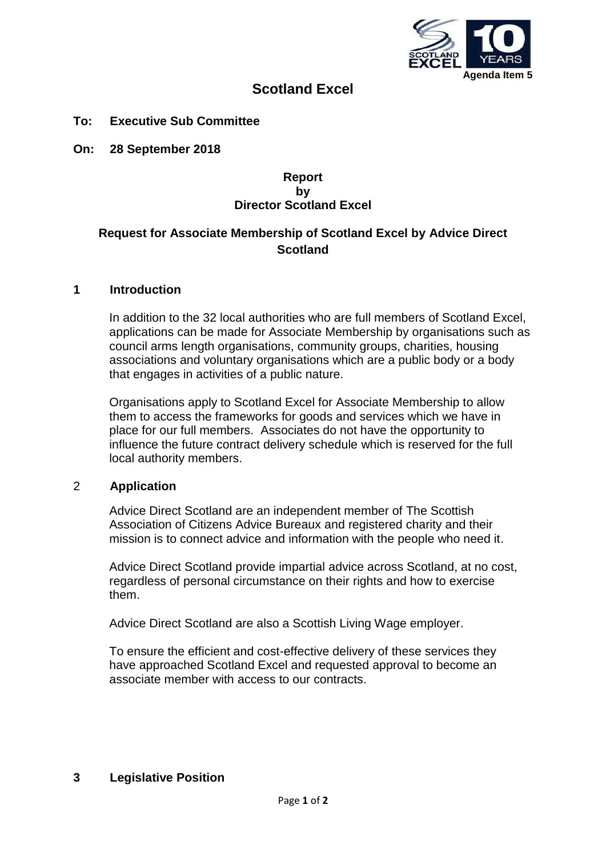

# **Scotland Excel**

**To: Executive Sub Committee**

**On: 28 September 2018**

# **Report by Director Scotland Excel**

# **Request for Associate Membership of Scotland Excel by Advice Direct Scotland**

#### **1 Introduction**

In addition to the 32 local authorities who are full members of Scotland Excel, applications can be made for Associate Membership by organisations such as council arms length organisations, community groups, charities, housing associations and voluntary organisations which are a public body or a body that engages in activities of a public nature.

Organisations apply to Scotland Excel for Associate Membership to allow them to access the frameworks for goods and services which we have in place for our full members. Associates do not have the opportunity to influence the future contract delivery schedule which is reserved for the full local authority members.

#### 2 **Application**

Advice Direct Scotland are an independent member of The Scottish Association of Citizens Advice Bureaux and registered charity and their mission is to connect advice and information with the people who need it.

Advice Direct Scotland provide impartial advice across Scotland, at no cost, regardless of personal circumstance on their rights and how to exercise them.

Advice Direct Scotland are also a Scottish Living Wage employer.

To ensure the efficient and cost-effective delivery of these services they have approached Scotland Excel and requested approval to become an associate member with access to our contracts.

# **3 Legislative Position**